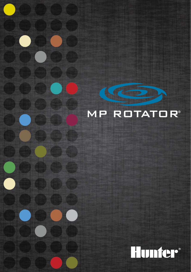

**CANADA** 

**CHITCH** 

 $\bullet$ 

 $\bullet$ 

**NEGLIST** 

 $\left($  in Fig.

**Billing Corporation** 

**CED CED CED CER** 

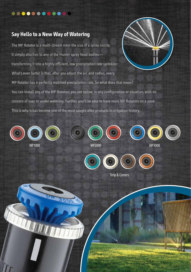## **...........**

## **Say Hello to a New Way of Watering**

The MP Rotator is a multi-stream rotor the size of a spray nozzle. It simply attaches to any of the Hunter spray head bodies transforming it into a highly efficient, low precipitation rate sprinkler. What's even better is that, after you adjust the arc and radius, every MP Rotator has a perfectly matched precipitation rate. So what does that mean? You can install any of the MP Rotators you see below, in any configuration or situation, with no concern of over or under watering. Further, you'll be able to have more MP Rotators on a zone. This is why it has become one of the most sought after products in irrigation history.



MP1000 MP2000 MP3000









Strip & Corners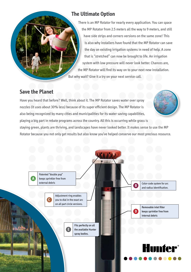## **The Ultimate Option**

There is an MP Rotator for nearly every application. You can space the MP Rotator from 2.5 meters all the way to 9 meters, and still have side strips and corners versions on the same zone! This is also why installers have found that the MP Rotator can save the day on existing irrigation systems in need of help. A zone that is "stretched" can now be brought to life. An irrigation system with low pressure will never look better. Chances are, the MP Rotator will find its way on to your next new installation. But why wait? Give it a try on your next service call.

## **Save the Planet**

Have you heard that before? Well, think about it. The MP Rotator saves water over spray nozzles (it uses about 30% less) because of its super efficient design. The MP Rotator is also being recognized by many cities and municipalities for its water saving capabilities, playing a big part in rebate programs across the country. All this is occurring while grass is staying green, plants are thriving, and landscapes have never looked better. It makes sense to use the MP Rotator because you not only get results but also know you've helped conserve our most precious resource.